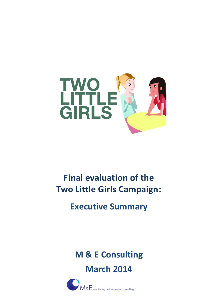

# **Final evaluation of the Two Little Girls Campaign:**

**Executive Summary**

**M & E Consulting March 2014**

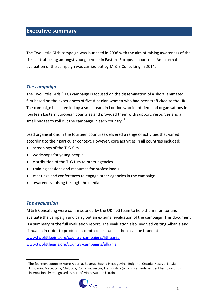## **Executive summary**

The Two Little Girls campaign was launched in 2008 with the aim of raising awareness of the risks of trafficking amongst young people in Eastern European countries. An external evaluation of the campaign was carried out by M & E Consulting in 2014.

#### *The campaign*

The Two Little Girls (TLG) campaign is focused on the dissemination of a short, animated film based on the experiences of five Albanian women who had been trafficked to the UK. The campaign has been led by a small team in London who identified lead organisations in fourteen Eastern European countries and provided them with support, resources and a small budget to roll out the campaign in each country.<sup>1</sup>

Lead organisations in the fourteen countries delivered a range of activities that varied according to their particular context. However, core activities in all countries included:

- screenings of the TLG film
- workshops for young people
- distribution of the TLG film to other agencies
- training sessions and resources for professionals
- meetings and conferences to engage other agencies in the campaign
- awareness-raising through the media.

## *The evaluation*

M & E Consulting were commissioned by the UK TLG team to help them monitor and evaluate the campaign and carry out an external evaluation of the campaign. This document is a summary of the full evaluation report. The evaluation also involved visiting Albania and Lithuania in order to produce in-depth case studies; these can be found at: [www.twolittlegirls.org/country-campaigns/lithuania](http://www.twolittlegirls.org/country-campaigns/lithuania)

[www.twolittlegirls.org/country-campaigns/albania](http://www.twolittlegirls.org/country-campaigns/albania)

<sup>&</sup>lt;u>.</u> <sup>1</sup> The fourteen countries were Albania, Belarus, Bosnia Herzegovina, Bulgaria, Croatia, Kosovo, Latvia, Lithuania, Macedonia, Moldova, Romania, Serbia, Transnistria (which is an independent territory but is internationally recognised as part of Moldova) and Ukraine.

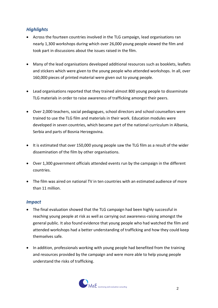## *Highlights*

- Across the fourteen countries involved in the TLG campaign, lead organisations ran nearly 1,300 workshops during which over 26,000 young people viewed the film and took part in discussions about the issues raised in the film.
- Many of the lead organisations developed additional resources such as booklets, leaflets and stickers which were given to the young people who attended workshops. In all, over 160,000 pieces of printed material were given out to young people.
- Lead organisations reported that they trained almost 800 young people to disseminate TLG materials in order to raise awareness of trafficking amongst their peers.
- Over 2,000 teachers, social pedagogues, school directors and school counsellors were trained to use the TLG film and materials in their work. Education modules were developed in seven countries, which became part of the national curriculum in Albania, Serbia and parts of Bosnia Herzegovina.
- It is estimated that over 150,000 young people saw the TLG film as a result of the wider dissemination of the film by other organisations.
- Over 1,300 government officials attended events run by the campaign in the different countries.
- The film was aired on national TV in ten countries with an estimated audience of more than 11 million.

## *Impact*

- The final evaluation showed that the TLG campaign had been highly successful in reaching young people at risk as well as carrying out awareness-raising amongst the general public. It also found evidence that young people who had watched the film and attended workshops had a better understanding of trafficking and how they could keep themselves safe.
- In addition, professionals working with young people had benefited from the training and resources provided by the campaign and were more able to help young people understand the risks of trafficking.